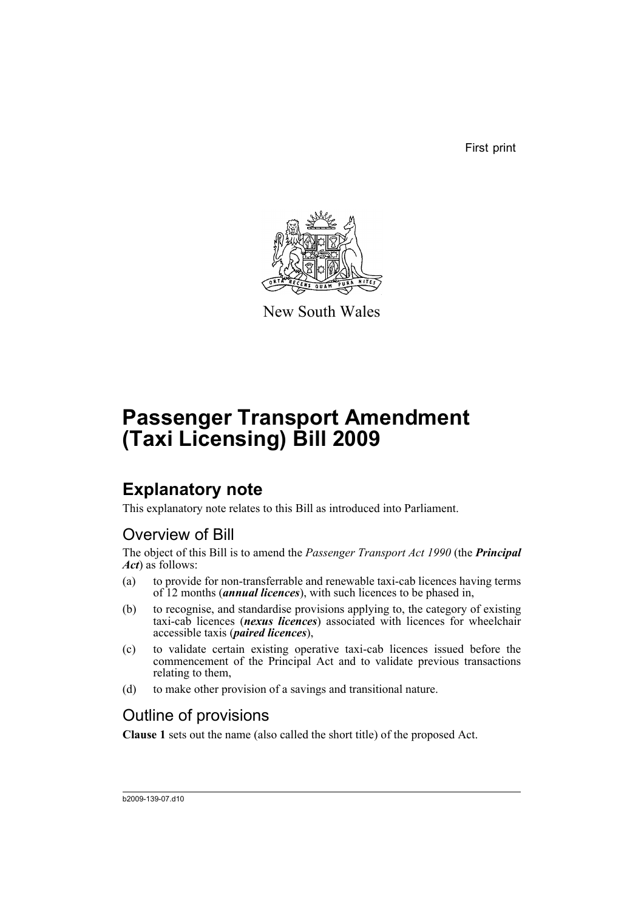First print



New South Wales

# **Passenger Transport Amendment (Taxi Licensing) Bill 2009**

## **Explanatory note**

This explanatory note relates to this Bill as introduced into Parliament.

### Overview of Bill

The object of this Bill is to amend the *Passenger Transport Act 1990* (the *Principal Act*) as follows:

- (a) to provide for non-transferrable and renewable taxi-cab licences having terms of 12 months (*annual licences*), with such licences to be phased in,
- (b) to recognise, and standardise provisions applying to, the category of existing taxi-cab licences (*nexus licences*) associated with licences for wheelchair accessible taxis (*paired licences*),
- (c) to validate certain existing operative taxi-cab licences issued before the commencement of the Principal Act and to validate previous transactions relating to them,
- (d) to make other provision of a savings and transitional nature.

### Outline of provisions

**Clause 1** sets out the name (also called the short title) of the proposed Act.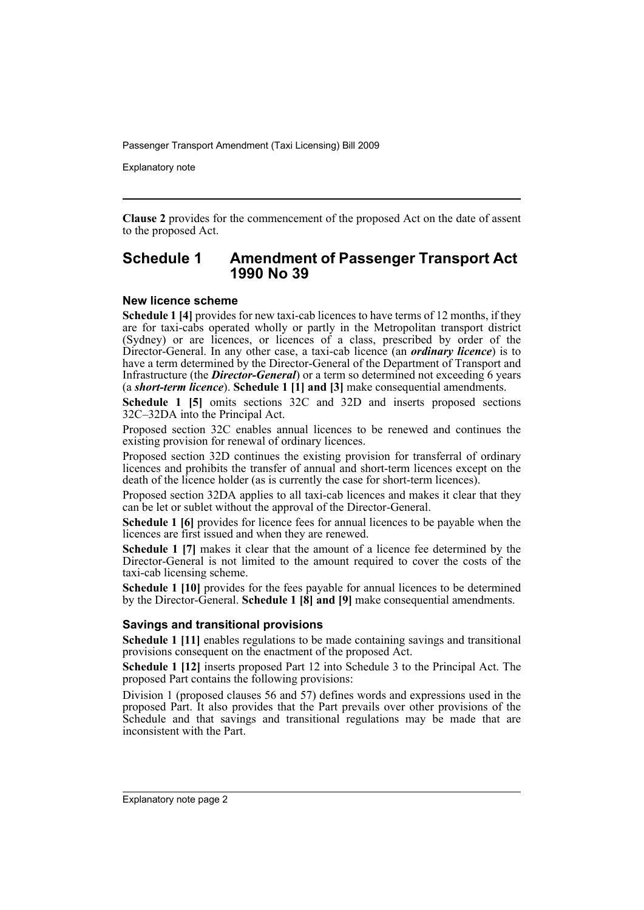Explanatory note

**Clause 2** provides for the commencement of the proposed Act on the date of assent to the proposed Act.

#### **Schedule 1 Amendment of Passenger Transport Act 1990 No 39**

#### **New licence scheme**

**Schedule 1 [4]** provides for new taxi-cab licences to have terms of 12 months, if they are for taxi-cabs operated wholly or partly in the Metropolitan transport district (Sydney) or are licences, or licences of a class, prescribed by order of the Director-General. In any other case, a taxi-cab licence (an *ordinary licence*) is to have a term determined by the Director-General of the Department of Transport and Infrastructure (the *Director-General*) or a term so determined not exceeding 6 years (a *short-term licence*). **Schedule 1 [1] and [3]** make consequential amendments.

**Schedule 1 [5]** omits sections 32C and 32D and inserts proposed sections 32C–32DA into the Principal Act.

Proposed section 32C enables annual licences to be renewed and continues the existing provision for renewal of ordinary licences.

Proposed section 32D continues the existing provision for transferral of ordinary licences and prohibits the transfer of annual and short-term licences except on the death of the licence holder (as is currently the case for short-term licences).

Proposed section 32DA applies to all taxi-cab licences and makes it clear that they can be let or sublet without the approval of the Director-General.

**Schedule 1 [6]** provides for licence fees for annual licences to be payable when the licences are first issued and when they are renewed.

**Schedule 1 [7]** makes it clear that the amount of a licence fee determined by the Director-General is not limited to the amount required to cover the costs of the taxi-cab licensing scheme.

**Schedule 1 [10]** provides for the fees payable for annual licences to be determined by the Director-General. **Schedule 1 [8] and [9]** make consequential amendments.

#### **Savings and transitional provisions**

**Schedule 1 [11]** enables regulations to be made containing savings and transitional provisions consequent on the enactment of the proposed Act.

**Schedule 1 [12]** inserts proposed Part 12 into Schedule 3 to the Principal Act. The proposed Part contains the following provisions:

Division 1 (proposed clauses 56 and 57) defines words and expressions used in the proposed Part. It also provides that the Part prevails over other provisions of the Schedule and that savings and transitional regulations may be made that are inconsistent with the Part.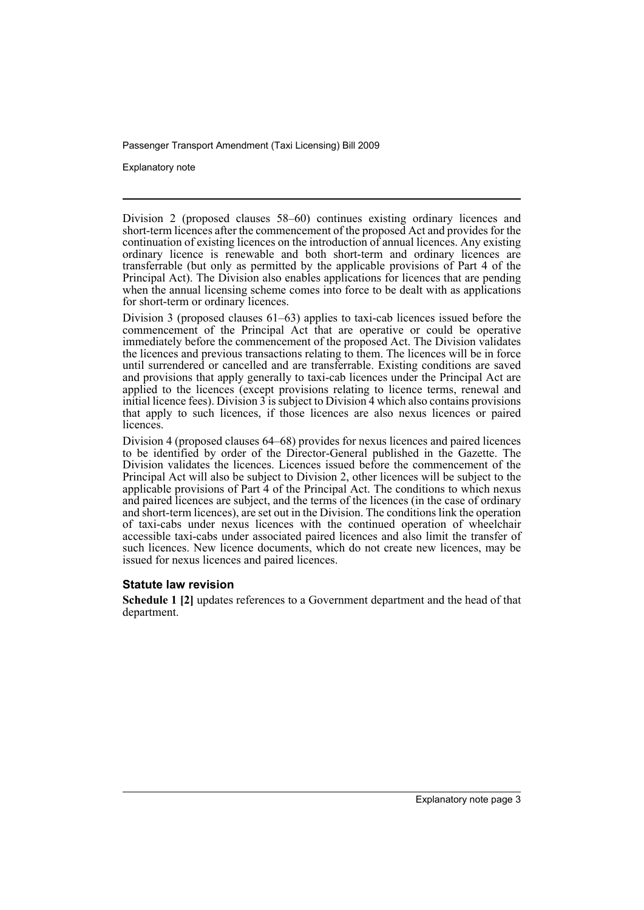Explanatory note

Division 2 (proposed clauses 58–60) continues existing ordinary licences and short-term licences after the commencement of the proposed Act and provides for the continuation of existing licences on the introduction of annual licences. Any existing ordinary licence is renewable and both short-term and ordinary licences are transferrable (but only as permitted by the applicable provisions of Part 4 of the Principal Act). The Division also enables applications for licences that are pending when the annual licensing scheme comes into force to be dealt with as applications for short-term or ordinary licences.

Division 3 (proposed clauses 61–63) applies to taxi-cab licences issued before the commencement of the Principal Act that are operative or could be operative immediately before the commencement of the proposed Act. The Division validates the licences and previous transactions relating to them. The licences will be in force until surrendered or cancelled and are transferrable. Existing conditions are saved and provisions that apply generally to taxi-cab licences under the Principal Act are applied to the licences (except provisions relating to licence terms, renewal and initial licence fees). Division 3 is subject to Division 4 which also contains provisions that apply to such licences, if those licences are also nexus licences or paired licences.

Division 4 (proposed clauses 64–68) provides for nexus licences and paired licences to be identified by order of the Director-General published in the Gazette. The Division validates the licences. Licences issued before the commencement of the Principal Act will also be subject to Division 2, other licences will be subject to the applicable provisions of Part 4 of the Principal Act. The conditions to which nexus and paired licences are subject, and the terms of the licences (in the case of ordinary and short-term licences), are set out in the Division. The conditions link the operation of taxi-cabs under nexus licences with the continued operation of wheelchair accessible taxi-cabs under associated paired licences and also limit the transfer of such licences. New licence documents, which do not create new licences, may be issued for nexus licences and paired licences.

#### **Statute law revision**

**Schedule 1 [2]** updates references to a Government department and the head of that department.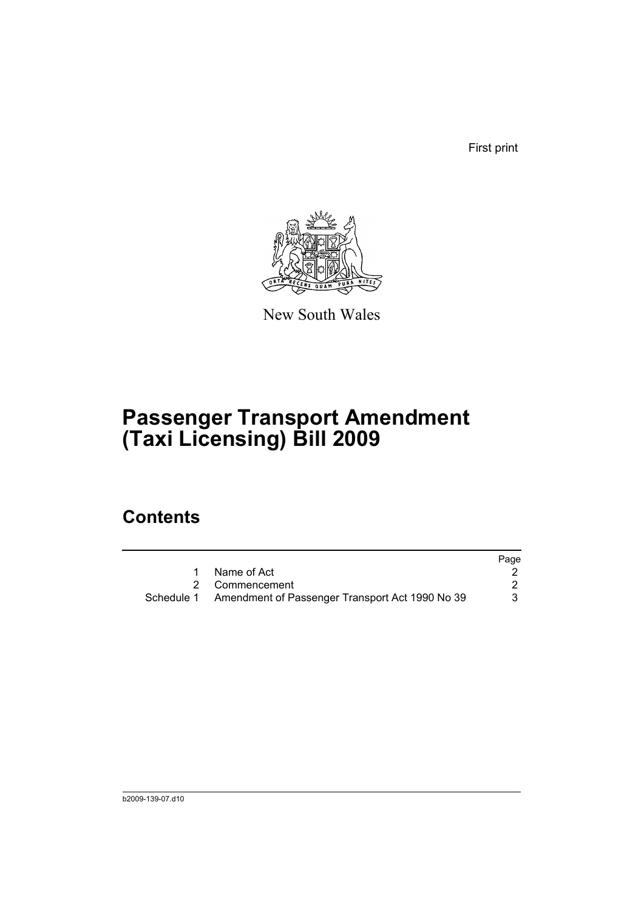First print



New South Wales

## **Passenger Transport Amendment (Taxi Licensing) Bill 2009**

### **Contents**

|                                                            | Page |
|------------------------------------------------------------|------|
| Name of Act                                                |      |
| 2 Commencement                                             |      |
| Schedule 1 Amendment of Passenger Transport Act 1990 No 39 |      |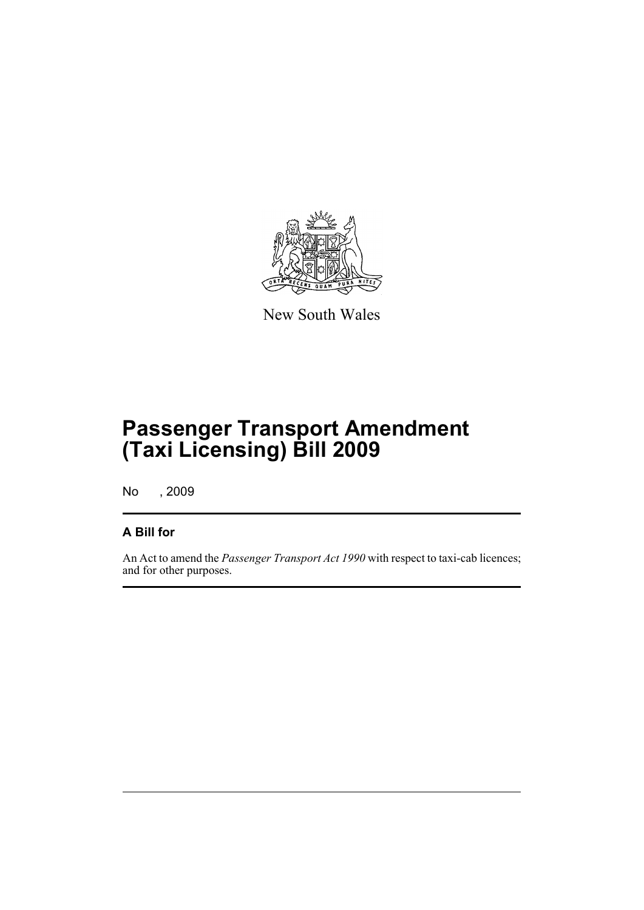

New South Wales

## **Passenger Transport Amendment (Taxi Licensing) Bill 2009**

No , 2009

### **A Bill for**

An Act to amend the *Passenger Transport Act 1990* with respect to taxi-cab licences; and for other purposes.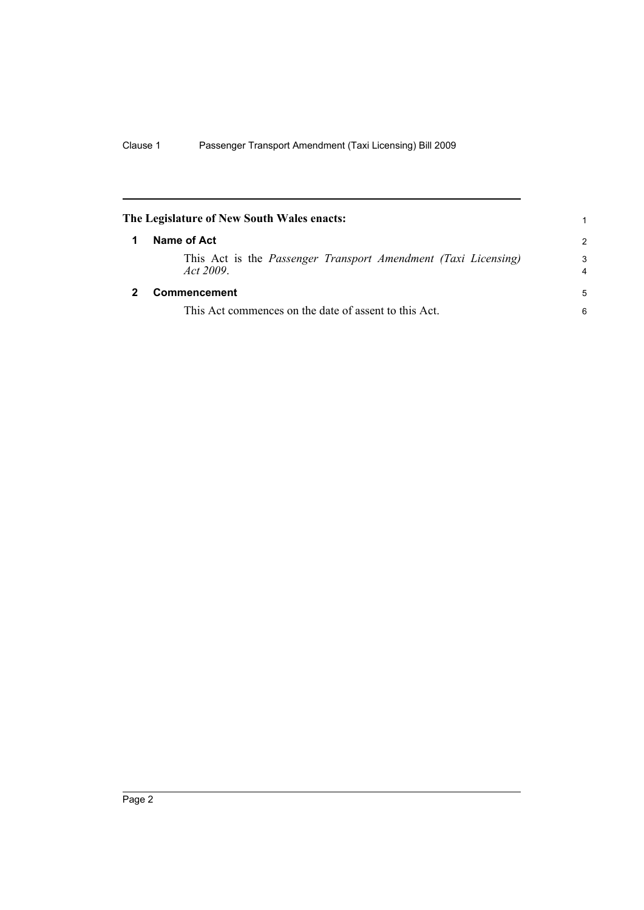<span id="page-7-1"></span><span id="page-7-0"></span>

| The Legislature of New South Wales enacts: |                                                                            |               |
|--------------------------------------------|----------------------------------------------------------------------------|---------------|
|                                            | Name of Act                                                                | $\mathcal{P}$ |
|                                            | This Act is the Passenger Transport Amendment (Taxi Licensing)<br>Act 2009 | 3<br>4        |
|                                            | <b>Commencement</b>                                                        | 5             |
|                                            | This Act commences on the date of assent to this Act.                      | 6             |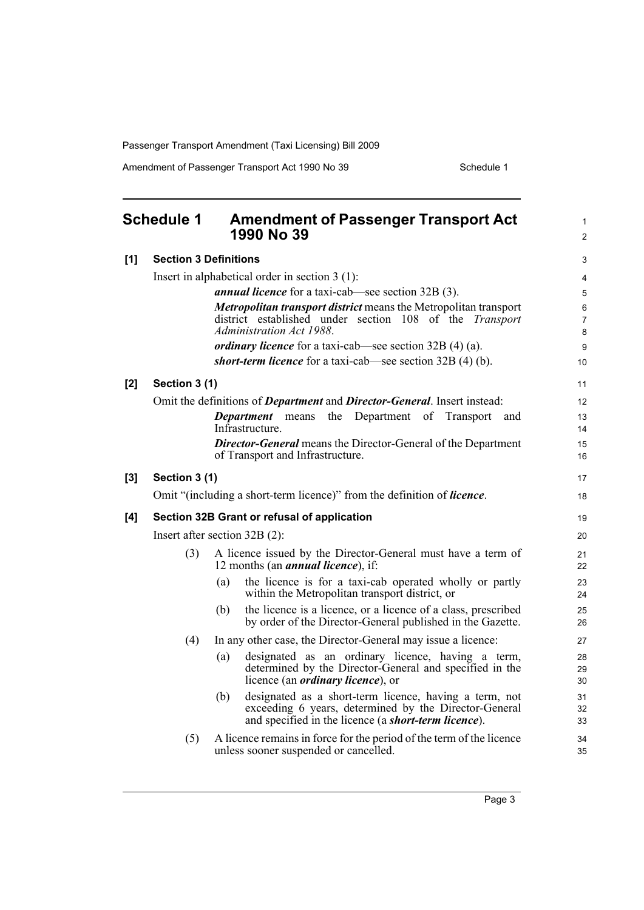Amendment of Passenger Transport Act 1990 No 39 Schedule 1

<span id="page-8-0"></span>

|       | <b>Schedule 1</b>               |     | <b>Amendment of Passenger Transport Act</b><br>1990 No 39                                                                                                               | $\mathbf{1}$<br>$\overline{2}$ |
|-------|---------------------------------|-----|-------------------------------------------------------------------------------------------------------------------------------------------------------------------------|--------------------------------|
| [1]   | <b>Section 3 Definitions</b>    |     |                                                                                                                                                                         | 3                              |
|       |                                 |     | Insert in alphabetical order in section $3(1)$ :                                                                                                                        | 4                              |
|       |                                 |     | <i>annual licence</i> for a taxi-cab—see section 32B (3).                                                                                                               | 5                              |
|       |                                 |     | <b>Metropolitan transport district means the Metropolitan transport</b><br>district established under section 108 of the <i>Transport</i><br>Administration Act 1988.   | 6<br>$\overline{7}$<br>8       |
|       |                                 |     | <i>ordinary licence</i> for a taxi-cab—see section $32B(4)(a)$ .                                                                                                        | 9                              |
|       |                                 |     | short-term licence for a taxi-cab—see section 32B (4) (b).                                                                                                              | 10                             |
| [2]   | Section 3 (1)                   |     |                                                                                                                                                                         | 11                             |
|       |                                 |     | Omit the definitions of <i>Department</i> and <i>Director-General</i> . Insert instead:                                                                                 | 12                             |
|       |                                 |     | <b>Department</b> means<br>the Department of Transport<br>and                                                                                                           | 13                             |
|       |                                 |     | Infrastructure.                                                                                                                                                         | 14                             |
|       |                                 |     | <b>Director-General</b> means the Director-General of the Department<br>of Transport and Infrastructure.                                                                | 15<br>16                       |
| $[3]$ | Section 3 (1)                   |     |                                                                                                                                                                         | 17                             |
|       |                                 |     | Omit "(including a short-term licence)" from the definition of <i>licence</i> .                                                                                         | 18                             |
| [4]   |                                 |     | Section 32B Grant or refusal of application                                                                                                                             | 19                             |
|       | Insert after section $32B(2)$ : |     |                                                                                                                                                                         | 20                             |
|       | (3)                             |     | A licence issued by the Director-General must have a term of<br>12 months (an <i>annual licence</i> ), if:                                                              | 21<br>22                       |
|       |                                 | (a) | the licence is for a taxi-cab operated wholly or partly<br>within the Metropolitan transport district, or                                                               | 23<br>24                       |
|       |                                 | (b) | the licence is a licence, or a licence of a class, prescribed<br>by order of the Director-General published in the Gazette.                                             | 25<br>26                       |
|       | (4)                             |     | In any other case, the Director-General may issue a licence:                                                                                                            | 27                             |
|       |                                 | (a) | designated as an ordinary licence, having a term,<br>determined by the Director-General and specified in the<br>licence (an <i>ordinary licence</i> ), or               | 28<br>29<br>30                 |
|       |                                 | (b) | designated as a short-term licence, having a term, not<br>exceeding 6 years, determined by the Director-General<br>and specified in the licence (a short-term licence). | 31<br>32<br>33                 |
|       | (5)                             |     | A licence remains in force for the period of the term of the licence<br>unless sooner suspended or cancelled.                                                           | 34<br>35                       |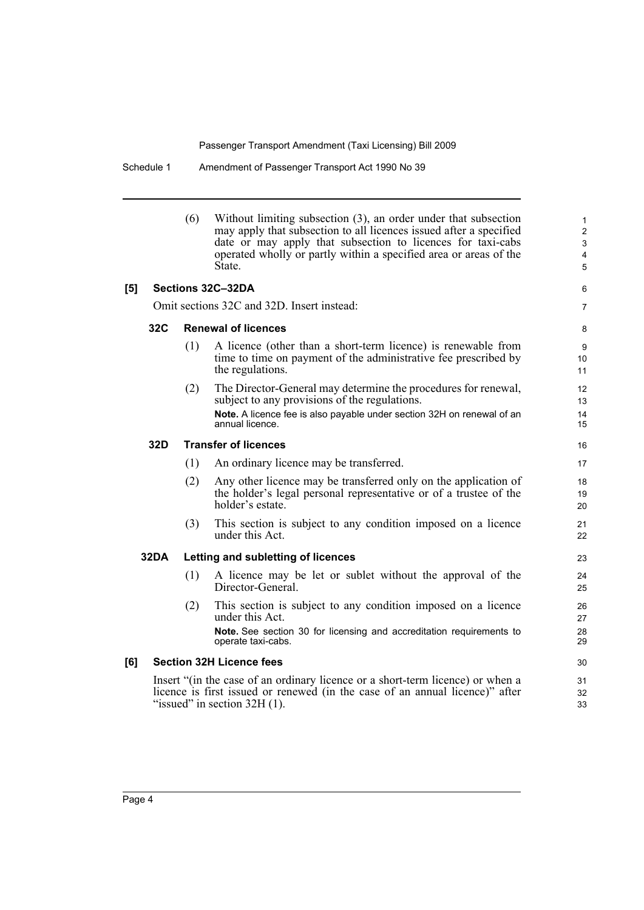Schedule 1 Amendment of Passenger Transport Act 1990 No 39

|     |      | (6) | Without limiting subsection (3), an order under that subsection<br>may apply that subsection to all licences issued after a specified<br>date or may apply that subsection to licences for taxi-cabs<br>operated wholly or partly within a specified area or areas of the<br>State. | $\mathbf{1}$<br>$\overline{2}$<br>$\mathfrak{S}$<br>4<br>5 |
|-----|------|-----|-------------------------------------------------------------------------------------------------------------------------------------------------------------------------------------------------------------------------------------------------------------------------------------|------------------------------------------------------------|
| [5] |      |     | Sections 32C-32DA                                                                                                                                                                                                                                                                   | 6                                                          |
|     |      |     | Omit sections 32C and 32D. Insert instead:                                                                                                                                                                                                                                          | $\overline{7}$                                             |
|     | 32C  |     | <b>Renewal of licences</b>                                                                                                                                                                                                                                                          | 8                                                          |
|     |      | (1) | A licence (other than a short-term licence) is renewable from<br>time to time on payment of the administrative fee prescribed by<br>the regulations.                                                                                                                                | 9<br>10<br>11                                              |
|     |      | (2) | The Director-General may determine the procedures for renewal,<br>subject to any provisions of the regulations.<br>Note. A licence fee is also payable under section 32H on renewal of an<br>annual licence.                                                                        | 12<br>13<br>14<br>15                                       |
|     | 32D  |     | <b>Transfer of licences</b>                                                                                                                                                                                                                                                         | 16                                                         |
|     |      | (1) | An ordinary licence may be transferred.                                                                                                                                                                                                                                             | 17                                                         |
|     |      | (2) | Any other licence may be transferred only on the application of<br>the holder's legal personal representative or of a trustee of the<br>holder's estate.                                                                                                                            | 18<br>19<br>20                                             |
|     |      | (3) | This section is subject to any condition imposed on a licence<br>under this Act.                                                                                                                                                                                                    | 21<br>22                                                   |
|     | 32DA |     | Letting and subletting of licences                                                                                                                                                                                                                                                  | 23                                                         |
|     |      | (1) | A licence may be let or sublet without the approval of the<br>Director-General.                                                                                                                                                                                                     | 24<br>25                                                   |
|     |      | (2) | This section is subject to any condition imposed on a licence<br>under this Act.                                                                                                                                                                                                    | 26<br>27                                                   |
|     |      |     | Note. See section 30 for licensing and accreditation requirements to<br>operate taxi-cabs.                                                                                                                                                                                          | 28<br>29                                                   |
| [6] |      |     | <b>Section 32H Licence fees</b>                                                                                                                                                                                                                                                     | 30                                                         |
|     |      |     | Insert "(in the case of an ordinary licence or a short-term licence) or when a<br>licence is first issued or renewed (in the case of an annual licence)" after<br>"issued" in section $32H(1)$ .                                                                                    | 31<br>32<br>33                                             |
|     |      |     |                                                                                                                                                                                                                                                                                     |                                                            |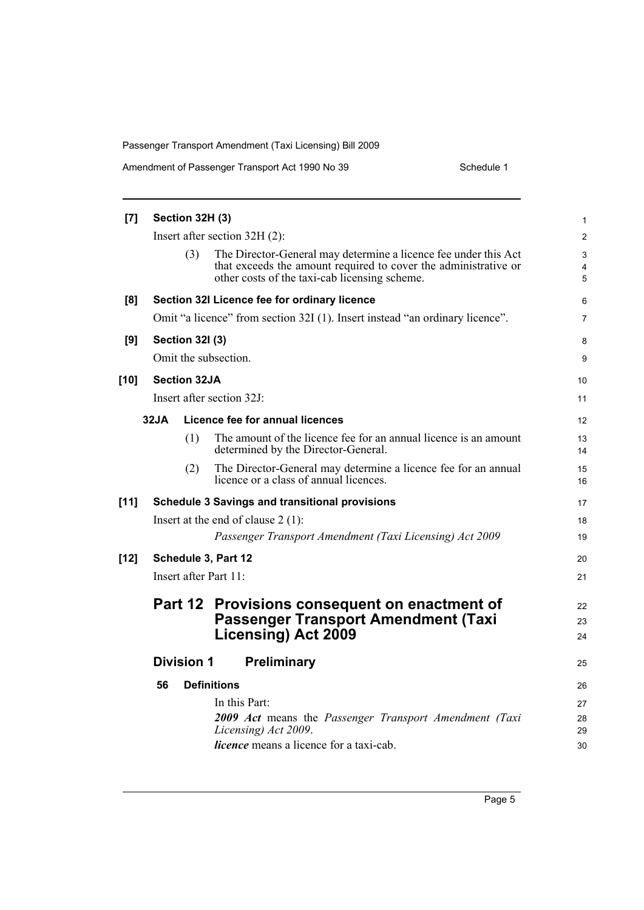| Amendment of Passenger Transport Act 1990 No 39<br>Schedule 1 |
|---------------------------------------------------------------|
|---------------------------------------------------------------|

| [7]    | Section 32H (3) |                        |                                                                                                                                                                                     | 1              |
|--------|-----------------|------------------------|-------------------------------------------------------------------------------------------------------------------------------------------------------------------------------------|----------------|
|        |                 |                        | Insert after section $32H(2)$ :                                                                                                                                                     | $\overline{c}$ |
|        |                 | (3)                    | The Director-General may determine a licence fee under this Act<br>that exceeds the amount required to cover the administrative or<br>other costs of the taxi-cab licensing scheme. | 3<br>4<br>5    |
| [8]    |                 |                        | Section 32I Licence fee for ordinary licence                                                                                                                                        | 6              |
|        |                 |                        | Omit "a licence" from section 32I (1). Insert instead "an ordinary licence".                                                                                                        | 7              |
| [9]    |                 | <b>Section 321 (3)</b> |                                                                                                                                                                                     | 8              |
|        |                 |                        | Omit the subsection.                                                                                                                                                                | 9              |
| [10]   |                 | <b>Section 32JA</b>    |                                                                                                                                                                                     | 10             |
|        |                 |                        | Insert after section 32J:                                                                                                                                                           | 11             |
|        | 32JA            |                        | Licence fee for annual licences                                                                                                                                                     | 12             |
|        |                 | (1)                    | The amount of the licence fee for an annual licence is an amount<br>determined by the Director-General.                                                                             | 13<br>14       |
|        |                 | (2)                    | The Director-General may determine a licence fee for an annual<br>licence or a class of annual licences.                                                                            | 15<br>16       |
| $[11]$ |                 |                        | <b>Schedule 3 Savings and transitional provisions</b>                                                                                                                               | 17             |
|        |                 |                        | Insert at the end of clause $2(1)$ :                                                                                                                                                | 18             |
|        |                 |                        | Passenger Transport Amendment (Taxi Licensing) Act 2009                                                                                                                             | 19             |
| [12]   |                 |                        | Schedule 3, Part 12                                                                                                                                                                 | 20             |
|        |                 |                        | Insert after Part 11:                                                                                                                                                               | 21             |
|        |                 |                        | Part 12 Provisions consequent on enactment of                                                                                                                                       | 22             |
|        |                 |                        | <b>Passenger Transport Amendment (Taxi</b>                                                                                                                                          | 23             |
|        |                 |                        | <b>Licensing) Act 2009</b>                                                                                                                                                          | 24             |
|        |                 | <b>Division 1</b>      | Preliminary                                                                                                                                                                         | 25             |
|        | 56              |                        | <b>Definitions</b>                                                                                                                                                                  | 26             |
|        |                 |                        | In this Part:                                                                                                                                                                       | 27             |
|        |                 |                        | 2009 Act means the Passenger Transport Amendment (Taxi                                                                                                                              | 28             |
|        |                 |                        | Licensing) Act 2009.                                                                                                                                                                | 29             |
|        |                 |                        | <i>licence</i> means a licence for a taxi-cab.                                                                                                                                      | 30             |
|        |                 |                        |                                                                                                                                                                                     |                |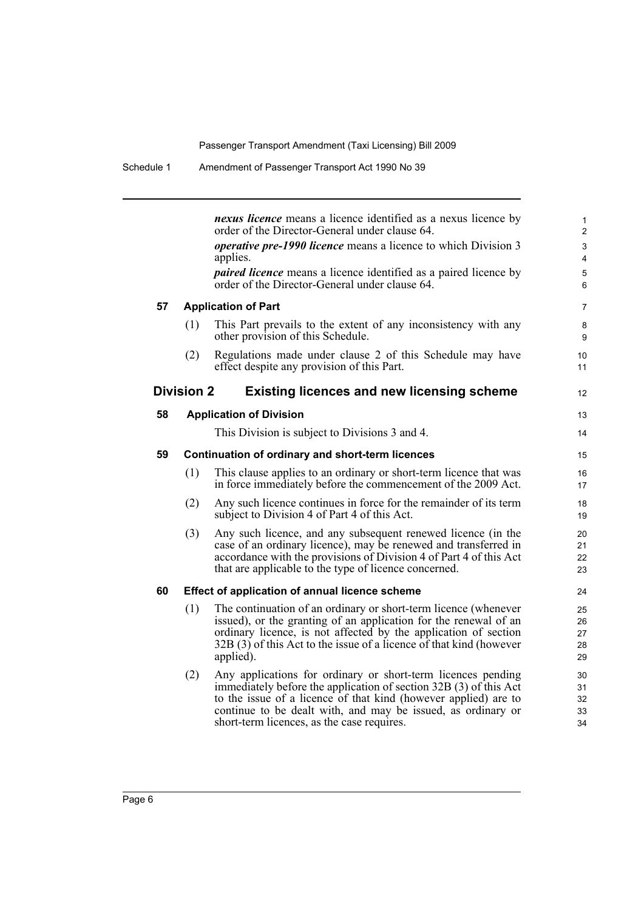|    |                   | <i>nexus licence</i> means a licence identified as a nexus licence by<br>order of the Director-General under clause 64.                                                                                                                                                                                            | 1<br>$\mathbf{2}$          |
|----|-------------------|--------------------------------------------------------------------------------------------------------------------------------------------------------------------------------------------------------------------------------------------------------------------------------------------------------------------|----------------------------|
|    |                   | <i>operative pre-1990 licence</i> means a licence to which Division 3<br>applies.                                                                                                                                                                                                                                  | 3<br>4                     |
|    |                   | <i>paired licence</i> means a licence identified as a paired licence by<br>order of the Director-General under clause 64.                                                                                                                                                                                          | 5<br>6                     |
| 57 |                   | <b>Application of Part</b>                                                                                                                                                                                                                                                                                         | $\overline{7}$             |
|    | (1)               | This Part prevails to the extent of any inconsistency with any<br>other provision of this Schedule.                                                                                                                                                                                                                | 8<br>9                     |
|    | (2)               | Regulations made under clause 2 of this Schedule may have<br>effect despite any provision of this Part.                                                                                                                                                                                                            | 10<br>11                   |
|    | <b>Division 2</b> | <b>Existing licences and new licensing scheme</b>                                                                                                                                                                                                                                                                  | 12                         |
| 58 |                   | <b>Application of Division</b>                                                                                                                                                                                                                                                                                     | 13                         |
|    |                   | This Division is subject to Divisions 3 and 4.                                                                                                                                                                                                                                                                     | 14                         |
| 59 |                   | Continuation of ordinary and short-term licences                                                                                                                                                                                                                                                                   | 15                         |
|    | (1)               | This clause applies to an ordinary or short-term licence that was<br>in force immediately before the commencement of the 2009 Act.                                                                                                                                                                                 | 16<br>17                   |
|    | (2)               | Any such licence continues in force for the remainder of its term<br>subject to Division 4 of Part 4 of this Act.                                                                                                                                                                                                  | 18<br>19                   |
|    | (3)               | Any such licence, and any subsequent renewed licence (in the<br>case of an ordinary licence), may be renewed and transferred in<br>accordance with the provisions of Division 4 of Part 4 of this Act<br>that are applicable to the type of licence concerned.                                                     | 20<br>21<br>22<br>23       |
| 60 |                   | Effect of application of annual licence scheme                                                                                                                                                                                                                                                                     | 24                         |
|    | (1)               | The continuation of an ordinary or short-term licence (whenever<br>issued), or the granting of an application for the renewal of an<br>ordinary licence, is not affected by the application of section<br>32B (3) of this Act to the issue of a licence of that kind (however<br>applied).                         | 25<br>26<br>27<br>28<br>29 |
|    | (2)               | Any applications for ordinary or short-term licences pending<br>immediately before the application of section 32B (3) of this Act<br>to the issue of a licence of that kind (however applied) are to<br>continue to be dealt with, and may be issued, as ordinary or<br>short-term licences, as the case requires. | 30<br>31<br>32<br>33<br>34 |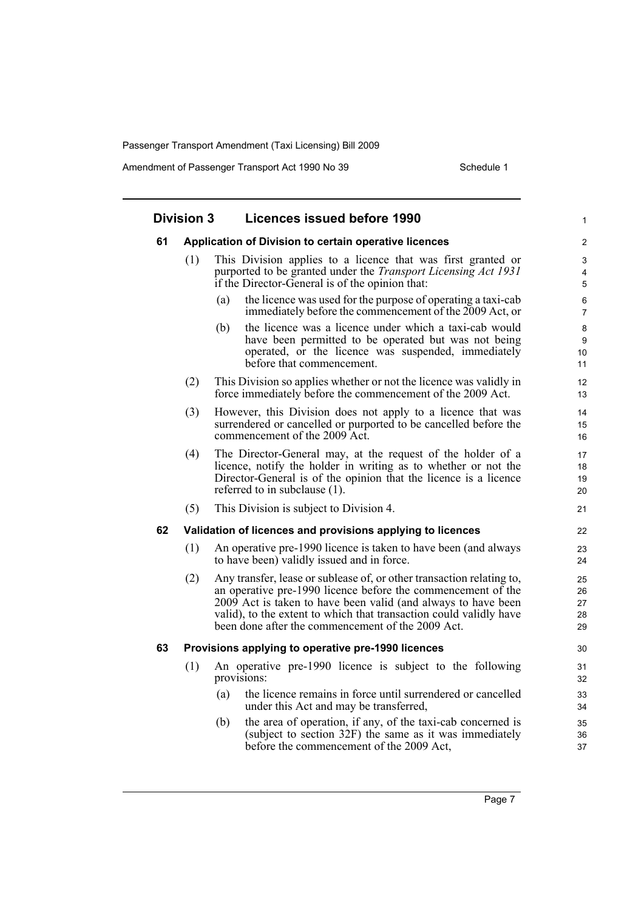Amendment of Passenger Transport Act 1990 No 39 Schedule 1

|    | <b>Division 3</b> | Licences issued before 1990                                                                                                                                                                                                                                                                                                       |                            |
|----|-------------------|-----------------------------------------------------------------------------------------------------------------------------------------------------------------------------------------------------------------------------------------------------------------------------------------------------------------------------------|----------------------------|
| 61 |                   | Application of Division to certain operative licences                                                                                                                                                                                                                                                                             |                            |
|    | (1)               | This Division applies to a licence that was first granted or<br>purported to be granted under the <i>Transport Licensing Act 1931</i><br>if the Director-General is of the opinion that:                                                                                                                                          |                            |
|    |                   | the licence was used for the purpose of operating a taxi-cab<br>(a)<br>immediately before the commencement of the 2009 Act, or                                                                                                                                                                                                    |                            |
|    |                   | the licence was a licence under which a taxi-cab would<br>(b)<br>have been permitted to be operated but was not being<br>operated, or the licence was suspended, immediately<br>before that commencement.                                                                                                                         |                            |
|    | (2)               | This Division so applies whether or not the licence was validly in<br>force immediately before the commencement of the 2009 Act.                                                                                                                                                                                                  | 12<br>13                   |
|    | (3)               | However, this Division does not apply to a licence that was<br>surrendered or cancelled or purported to be cancelled before the<br>commencement of the 2009 Act.                                                                                                                                                                  | 15                         |
|    | (4)               | The Director-General may, at the request of the holder of a<br>licence, notify the holder in writing as to whether or not the<br>Director-General is of the opinion that the licence is a licence<br>referred to in subclause $(1)$ .                                                                                             | 17<br>18<br>19<br>20       |
|    | (5)               | This Division is subject to Division 4.                                                                                                                                                                                                                                                                                           | 21                         |
| 62 |                   | Validation of licences and provisions applying to licences                                                                                                                                                                                                                                                                        | 22                         |
|    | (1)               | An operative pre-1990 licence is taken to have been (and always<br>to have been) validly issued and in force.                                                                                                                                                                                                                     | 23<br>24                   |
|    | (2)               | Any transfer, lease or sublease of, or other transaction relating to,<br>an operative pre-1990 licence before the commencement of the<br>2009 Act is taken to have been valid (and always to have been<br>valid), to the extent to which that transaction could validly have<br>been done after the commencement of the 2009 Act. | 25<br>26<br>27<br>28<br>29 |
| 63 |                   | Provisions applying to operative pre-1990 licences                                                                                                                                                                                                                                                                                | 30                         |
|    | (1)               | An operative pre-1990 licence is subject to the following<br>provisions:                                                                                                                                                                                                                                                          | 31<br>32                   |
|    |                   | the licence remains in force until surrendered or cancelled<br>(a)<br>under this Act and may be transferred,                                                                                                                                                                                                                      | 33<br>34                   |
|    |                   | the area of operation, if any, of the taxi-cab concerned is<br>(b)<br>(subject to section 32F) the same as it was immediately<br>before the commencement of the 2009 Act,                                                                                                                                                         | 35<br>36<br>37             |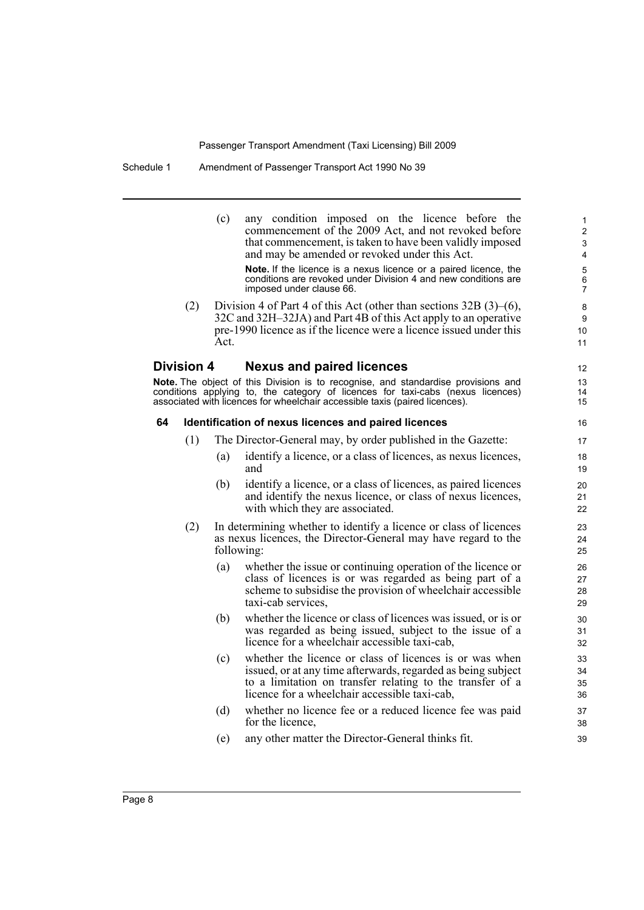|    |                   | (c)        | any condition imposed on the licence before the<br>commencement of the 2009 Act, and not revoked before<br>that commencement, is taken to have been validly imposed<br>and may be amended or revoked under this Act.<br>Note. If the licence is a nexus licence or a paired licence, the conditions are revoked under Division 4 and new conditions are<br>imposed under clause 66. | 1<br>$\overline{2}$<br>3<br>$\overline{4}$<br>$\mathbf 5$<br>6<br>$\overline{7}$ |
|----|-------------------|------------|-------------------------------------------------------------------------------------------------------------------------------------------------------------------------------------------------------------------------------------------------------------------------------------------------------------------------------------------------------------------------------------|----------------------------------------------------------------------------------|
|    | (2)               | Act.       | Division 4 of Part 4 of this Act (other than sections $32B(3)$ –(6),<br>32C and 32H-32JA) and Part 4B of this Act apply to an operative<br>pre-1990 licence as if the licence were a licence issued under this                                                                                                                                                                      | 8<br>9<br>10<br>11                                                               |
|    | <b>Division 4</b> |            | <b>Nexus and paired licences</b>                                                                                                                                                                                                                                                                                                                                                    | $12 \overline{ }$                                                                |
|    |                   |            | Note. The object of this Division is to recognise, and standardise provisions and<br>conditions applying to, the category of licences for taxi-cabs (nexus licences)<br>associated with licences for wheelchair accessible taxis (paired licences).                                                                                                                                 | 13<br>14<br>15                                                                   |
| 64 |                   |            | Identification of nexus licences and paired licences                                                                                                                                                                                                                                                                                                                                | 16                                                                               |
|    | (1)               |            | The Director-General may, by order published in the Gazette:                                                                                                                                                                                                                                                                                                                        | 17                                                                               |
|    |                   | (a)        | identify a licence, or a class of licences, as nexus licences,<br>and                                                                                                                                                                                                                                                                                                               | 18<br>19                                                                         |
|    |                   | (b)        | identify a licence, or a class of licences, as paired licences<br>and identify the nexus licence, or class of nexus licences,<br>with which they are associated.                                                                                                                                                                                                                    | 20<br>21<br>22                                                                   |
|    | (2)               | following: | In determining whether to identify a licence or class of licences<br>as nexus licences, the Director-General may have regard to the                                                                                                                                                                                                                                                 | 23<br>24<br>25                                                                   |
|    |                   | (a)        | whether the issue or continuing operation of the licence or<br>class of licences is or was regarded as being part of a<br>scheme to subsidise the provision of wheelchair accessible<br>taxi-cab services,                                                                                                                                                                          | 26<br>27<br>28<br>29                                                             |
|    |                   | (b)        | whether the licence or class of licences was issued, or is or<br>was regarded as being issued, subject to the issue of a<br>licence for a wheelchair accessible taxi-cab,                                                                                                                                                                                                           | 30<br>31<br>32                                                                   |
|    |                   | (c)        | whether the licence or class of licences is or was when<br>issued, or at any time afterwards, regarded as being subject<br>to a limitation on transfer relating to the transfer of a<br>licence for a wheelchair accessible taxi-cab,                                                                                                                                               | 33<br>34<br>35<br>36                                                             |
|    |                   | (d)        | whether no licence fee or a reduced licence fee was paid<br>for the licence,                                                                                                                                                                                                                                                                                                        | 37<br>38                                                                         |
|    |                   | (e)        | any other matter the Director-General thinks fit.                                                                                                                                                                                                                                                                                                                                   | 39                                                                               |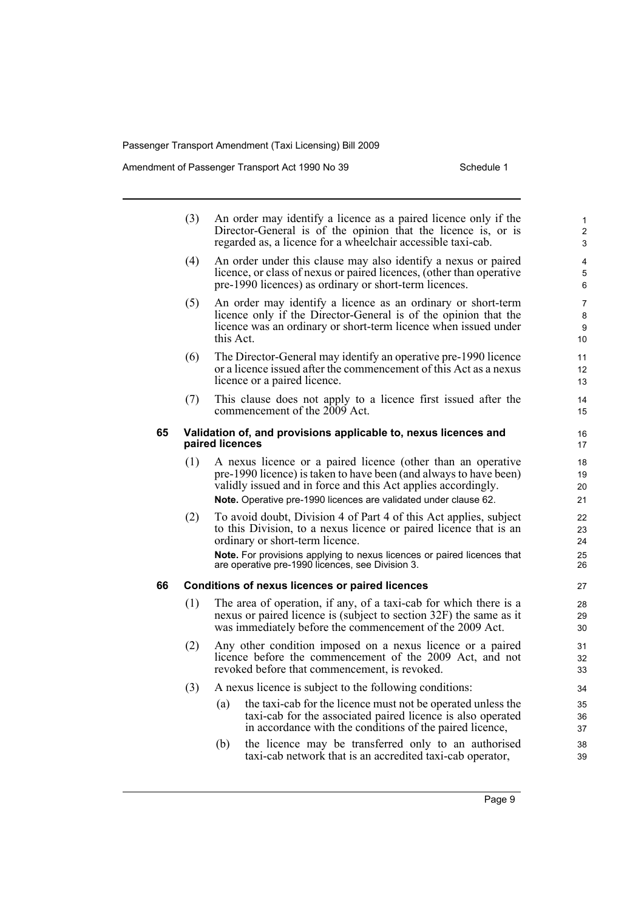Amendment of Passenger Transport Act 1990 No 39 Schedule 1

|    | (3) |                 | An order may identify a licence as a paired licence only if the<br>Director-General is of the opinion that the licence is, or is<br>regarded as, a licence for a wheelchair accessible taxi-cab.                                                                                                         | 1<br>2<br>3                |
|----|-----|-----------------|----------------------------------------------------------------------------------------------------------------------------------------------------------------------------------------------------------------------------------------------------------------------------------------------------------|----------------------------|
|    | (4) |                 | An order under this clause may also identify a nexus or paired<br>licence, or class of nexus or paired licences, (other than operative<br>pre-1990 licences) as ordinary or short-term licences.                                                                                                         | 4<br>5<br>6                |
|    | (5) | this Act.       | An order may identify a licence as an ordinary or short-term<br>licence only if the Director-General is of the opinion that the<br>licence was an ordinary or short-term licence when issued under                                                                                                       | 7<br>8<br>9<br>10          |
|    | (6) |                 | The Director-General may identify an operative pre-1990 licence<br>or a licence issued after the commencement of this Act as a nexus<br>licence or a paired licence.                                                                                                                                     | 11<br>12<br>13             |
|    | (7) |                 | This clause does not apply to a licence first issued after the<br>commencement of the 2009 Act.                                                                                                                                                                                                          | 14<br>15                   |
| 65 |     | paired licences | Validation of, and provisions applicable to, nexus licences and                                                                                                                                                                                                                                          | 16<br>17                   |
|    | (1) |                 | A nexus licence or a paired licence (other than an operative<br>pre-1990 licence) is taken to have been (and always to have been)<br>validly issued and in force and this Act applies accordingly.<br>Note. Operative pre-1990 licences are validated under clause 62.                                   | 18<br>19<br>20<br>21       |
|    | (2) |                 | To avoid doubt, Division 4 of Part 4 of this Act applies, subject<br>to this Division, to a nexus licence or paired licence that is an<br>ordinary or short-term licence.<br>Note. For provisions applying to nexus licences or paired licences that<br>are operative pre-1990 licences, see Division 3. | 22<br>23<br>24<br>25<br>26 |
| 66 |     |                 | <b>Conditions of nexus licences or paired licences</b>                                                                                                                                                                                                                                                   | 27                         |
|    | (1) |                 | The area of operation, if any, of a taxi-cab for which there is a<br>nexus or paired licence is (subject to section 32F) the same as it<br>was immediately before the commencement of the 2009 Act.                                                                                                      | 28<br>29<br>30             |
|    | (2) |                 | Any other condition imposed on a nexus licence or a paired<br>licence before the commencement of the 2009 Act, and not<br>revoked before that commencement, is revoked.                                                                                                                                  | 31<br>32<br>33             |
|    | (3) |                 | A nexus licence is subject to the following conditions:                                                                                                                                                                                                                                                  | 34                         |
|    |     | (a)             | the taxi-cab for the licence must not be operated unless the<br>taxi-cab for the associated paired licence is also operated<br>in accordance with the conditions of the paired licence,                                                                                                                  | 35<br>36<br>37             |
|    |     | (b)             | the licence may be transferred only to an authorised<br>taxi-cab network that is an accredited taxi-cab operator,                                                                                                                                                                                        | 38<br>39                   |

Page 9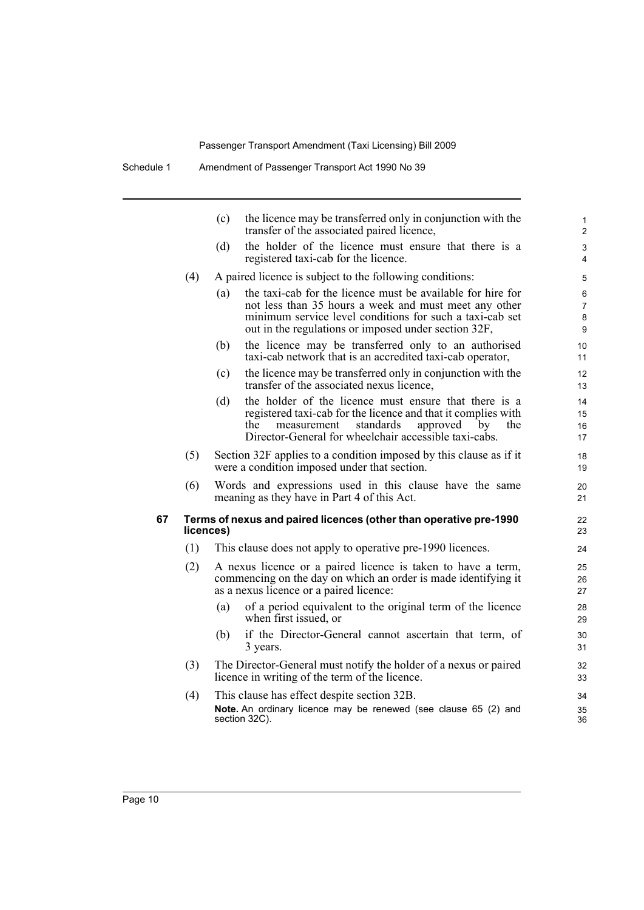|    |     | the licence may be transferred only in conjunction with the<br>(c)<br>transfer of the associated paired licence,                                                                                                                                   | 1<br>$\overline{c}$  |
|----|-----|----------------------------------------------------------------------------------------------------------------------------------------------------------------------------------------------------------------------------------------------------|----------------------|
|    |     | the holder of the licence must ensure that there is a<br>(d)<br>registered taxi-cab for the licence.                                                                                                                                               | 3<br>$\overline{4}$  |
|    | (4) | A paired licence is subject to the following conditions:                                                                                                                                                                                           | 5                    |
|    |     | the taxi-cab for the licence must be available for hire for<br>(a)<br>not less than 35 hours a week and must meet any other<br>minimum service level conditions for such a taxi-cab set<br>out in the regulations or imposed under section 32F,    | 6<br>7<br>8<br>9     |
|    |     | the licence may be transferred only to an authorised<br>(b)<br>taxi-cab network that is an accredited taxi-cab operator,                                                                                                                           | 10<br>11             |
|    |     | the licence may be transferred only in conjunction with the<br>(c)<br>transfer of the associated nexus licence,                                                                                                                                    | 12<br>13             |
|    |     | the holder of the licence must ensure that there is a<br>(d)<br>registered taxi-cab for the licence and that it complies with<br>measurement<br>standards<br>approved<br>the<br>by<br>the<br>Director-General for wheelchair accessible taxi-cabs. | 14<br>15<br>16<br>17 |
|    | (5) | Section 32F applies to a condition imposed by this clause as if it<br>were a condition imposed under that section.                                                                                                                                 | 18<br>19             |
|    | (6) | Words and expressions used in this clause have the same<br>meaning as they have in Part 4 of this Act.                                                                                                                                             | 20<br>21             |
| 67 |     | Terms of nexus and paired licences (other than operative pre-1990<br>licences)                                                                                                                                                                     | 22<br>23             |
|    | (1) | This clause does not apply to operative pre-1990 licences.                                                                                                                                                                                         | 24                   |
|    | (2) | A nexus licence or a paired licence is taken to have a term,<br>commencing on the day on which an order is made identifying it<br>as a nexus licence or a paired licence:                                                                          | 25<br>26<br>27       |
|    |     | of a period equivalent to the original term of the licence<br>(a)<br>when first issued, or                                                                                                                                                         | 28<br>29             |
|    |     | if the Director-General cannot ascertain that term, of<br>(b)<br>3 years.                                                                                                                                                                          | 30<br>31             |
|    | (3) | The Director-General must notify the holder of a nexus or paired<br>licence in writing of the term of the licence.                                                                                                                                 | 32<br>33             |
|    | (4) | This clause has effect despite section 32B.<br>Note. An ordinary licence may be renewed (see clause 65 (2) and<br>section 32C).                                                                                                                    | 34<br>35<br>36       |